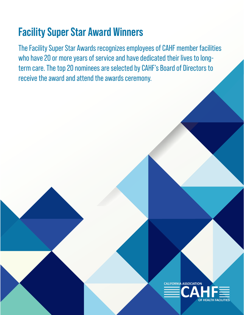# **Facility Super Star Award Winners**

The Facility Super Star Awards recognizes employees of CAHF member facilities who have 20 or more years of service and have dedicated their lives to longterm care. The top 20 nominees are selected by CAHF's Board of Directors to receive the award and attend the awards ceremony.

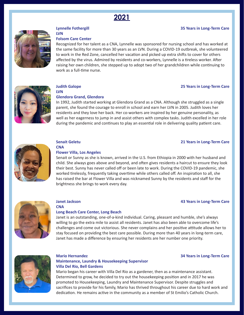



#### **Lynnelle Fothergill 35 Years in Long-Term Care**

**LVN**

#### **Folsom Care Center**

Recognized for her talent as a CNA, Lynnelle was sponsored for nursing school and has worked at the same facility for more than 30 years as an LVN. During a COVID-19 outbreak, she volunteered to work in the Red Zone, cancelled her vacation and picked up extra shifts to cover for others affected by the virus. Admired by residents and co-workers, Lynnelle is a tireless worker. After raising her own children, she stepped up to adopt two of her grandchildren while continuing to work as a full-time nurse.



**LVN**

#### **Judith Galope 25 Years in Long-Term Care**

#### **Glendora Grand, Glendora**

In 1992, Judith started working at Glendora Grand as a CNA. Although she struggled as a single parent, she found the courage to enroll in school and earn her LVN in 2005. Judith loves her residents and they love her back. Her co-workers are inspired by her genuine personality, as well as her eagerness to jump in and assist others with complex tasks. Judith excelled in her role during the pandemic and continues to play an essential role in delivering quality patient care.



#### **Senait Geletu 21 Years in Long-Term Care CNA**

#### **Flower Villa, Los Angeles**

Senait or Sunny as she is known, arrived in the U.S. from Ethiopia in 2000 with her husband and child. She always goes above and beyond, and often gives residents a haircut to ensure they look their best. Sunny has never called off or been late to work. During the COVID-19 pandemic, she worked tirelessly, frequently taking overtime while others called off. An inspiration to all, she has raised the bar at Flower Villa and was nicknamed Sunny by the residents and staff for the brightness she brings to work every day.



# **Janet Jackson 43 Years in Long-Term Care**

**CNA**

#### **Long Beach Care Center, Long Beach**

Janet is an outstanding, one-of-a-kind individual. Caring, pleasant and humble, she's always willing to go the extra mile to assist all residents. Janet has also been able to overcome life's challenges and come out victorious. She never complains and her positive attitude allows her to stay focused on providing the best care possible. During more than 40 years in long-term care, Janet has made a difference by ensuring her residents are her number one priority.



# **Maintenance, Laundry & Housekeeping Supervisor Villa Del Rio, Bell Gardens**

#### **Mario Hernandez 34 Years in Long-Term Care**

Mario began his career with Villa Del Rio as a gardener, then as a maintenance assistant. Determined to grow, he decided to try out the housekeeping position and in 2017 he was promoted to Housekeeping, Laundry and Maintenance Supervisor. Despite struggles and sacrifices to provide for his family, Mario has thrived throughout his career due to hard work and dedication. He remains active in the community as a member of St Emilio's Catholic Church.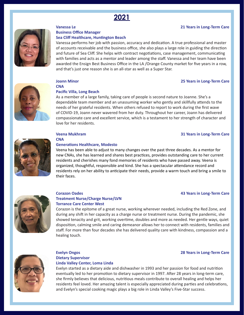

#### **Vanessa Le 21 Years in Long-Term Care**



#### **Business Office Manager Sea Cliff Healthcare, Huntington Beach**

Vanessa performs her job with passion, accuracy and dedication. A true professional and master of accounts receivable and the business office, she also plays a large role in guiding the direction and future of Sea Cliff. She helps with contract negotiations, case management, communicating with families and acts as a mentor and leader among the staff. Vanessa and her team have been awarded the Ensign Best Business Office in the LA /Orange County market for five years in a row, and that's just one reason she is an all-star as well as a Super Star.



#### **Joann Minor 25 Years in Long-Term Care CNA**

#### **Pacific Villa, Long Beach**

As a member of a large family, taking care of people is second nature to Joanne. She's a dependable team member and an unassuming worker who gently and skillfully attends to the needs of her grateful residents. When others refused to report to work during the first wave of COVID-19, Joann never wavered from her duty. Throughout her career, Joann has delivered compassionate care and excellent service, which is a testament to her strength of character and love for her residents.

#### **Veena Mukhram 31 Years in Long-Term Care**



# **CNA**

#### **Generations Healthcare, Modesto**

Veena has been able to adjust to many changes over the past three decades. As a mentor for new CNAs, she has learned and shares best practices, provides outstanding care to her current residents and cherishes many fond memories of residents who have passed away. Veena is organized, thoughtful, responsible and kind. She has a spectacular attendance record and residents rely on her ability to anticipate their needs, provide a warm touch and bring a smile to their faces.



# **Treatment Nurse/Charge Nurse/LVN**

#### **Corazon Oades 43 Years in Long-Term Care**

**Torrance Care Center West** Corazon is the epitome of a great nurse, working wherever needed, including the Red Zone, and during any shift in her capacity as a charge nurse or treatment nurse. During the pandemic, she showed tenacity and grit, working overtime, doubles and more as needed. Her gentle ways, quiet disposition, calming smile and caring demeanor allows her to connect with residents, families and staff. For more than four decades she has delivered quality care with kindness, compassion and a healing touch.



#### **Evelyn Ongos 28 Years in Long-Term Care Dietary Supervisor Linda Valley Center, Loma Linda**

Evelyn started as a dietary aide and dishwasher in 1993 and her passion for food and nutrition eventually led to her promotion to dietary supervisor in 1997. After 28 years in long-term care, she firmly believes that delicious, nutritious meals contribute to overall healing and helps her residents feel loved. Her amazing talent is especially appreciated during parties and celebrations, and Evelyn's special cooking magic plays a big role in Linda Valley's Five-Star success.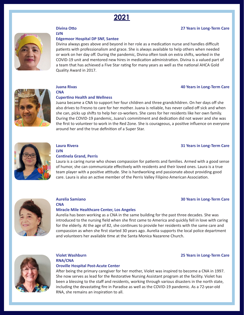

#### **Divina Otto 27 Years in Long-Term Care**



# **LVN**

#### **Edgemoor Hospital DP SNF, Santee**

Divina always goes above and beyond in her role as a medication nurse and handles difficult patients with professionalism and grace. She is always available to help others when needed or work on her day off. During the pandemic, Divina often took on extra shifts, worked in the COVID-19 unit and mentored new hires in medication administration. Divina is a valued part of a team that has achieved a Five Star rating for many years as well as the national AHCA Gold Quality Award in 2017.



**CNA**

#### **Juana Rivas 40 Years in Long-Term Care**

#### **Cupertino Health and Wellness**

Juana became a CNA to support her four children and three grandchildren. On her days off she also drives to Fresno to care for her mother. Juana is reliable, has never called off sick and when she can, picks up shifts to help her co-workers. She cares for her residents like her own family. During the COVID-19 pandemic, Juana's commitment and dedication did not waver and she was the first to volunteer to work in the Red Zone. She is courageous, a positive influence on everyone around her and the true definition of a Super Star.



**LVN**

#### **Centinela Grand, Perris**

Laura is a caring nurse who shows compassion for patients and families. Armed with a good sense of humor, she can communicate effectively with residents and their loved ones. Laura is a true team player with a positive attitude. She is hardworking and passionate about providing good care. Laura is also an active member of the Perris Valley Filipino American Association.



# **Aurelia Samiano 30 Years in Long-Term Care**

**CNA**

#### **Miracle Mile Healthcare Center, Los Angeles**

Aurelia has been working as a CNA in the same building for the past three decades. She was introduced to the nursing field when she first came to America and quickly fell in love with caring for the elderly. At the age of 82, she continues to provide her residents with the same care and compassion as when she first started 30 years ago. Aurelia supports the local police department and volunteers her available time at the Santa Monica Nazarene Church.



#### **Violet Washburn 25 Years in Long-Term Care RNA/CNA Oroville Hospital Post-Acute Center**

#### After being the primary caregiver for her mother, Violet was inspired to become a CNA in 1997. She now serves as lead for the Restorative Nursing Assistant program at the facility. Violet has been a blessing to the staff and residents, working through various disasters in the north state, including the devastating fire in Paradise as well as the COVID-19 pandemic. As a 72-year-old RNA, she remains an inspiration to all.

#### **Laura Rivera 31 Years in Long-Term Care**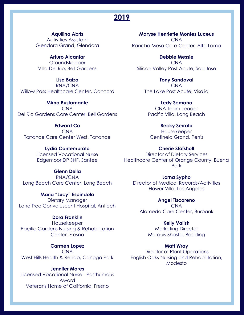**Aquilina Abris**

Activities Assistant Glendora Grand, Glendora

**Arturo Alcantar** Groundskeeper Villa Del Rio, Bell Gardens

**Lisa Baiza** RNA/CNA Willow Pass Healthcare Center, Concord

**Mirna Bustamante** CNA Del Rio Gardens Care Center, Bell Gardens

**Edward Co** CNA Torrance Care Center West, Torrance

> **Lydia Contemprato** Licensed Vocational Nurse Edgemoor DP SNF, Santee

**Glenn Della** RNA/CNA

**Maria "Lucy" Espindola**  Dietary Manager Lone Tree Convalescent Hospital, Antioch

# **Dora Franklin**

Housekeeper Pacific Gardens Nursing & Rehabilitation Center, Fresno

**Carmen Lopez** CNA West Hills Health & Rehab, Canoga Park

**Jennifer Mares**  Licensed Vocational Nurse - Posthumous Award Veterans Home of California, Fresno

**Maryse Henriette Montes Luceus** CNA Rancho Mesa Care Center, Alta Loma

**Debbie Messie** CNA Silicon Valley Post Acute, San Jose

**Tony Sandoval** CNA The Lake Post Acute, Visalia

**Ledy Semana** CNA Team Leader Pacific Villa, Long Beach

> **Becky Serrato** Housekeeper Centinela Grand, Perris

**Cherie Stafsholt** Director of Dietary Services Healthcare Center of Orange County, Buena Park

Long Beach Care Center, Long Beach Director of Medical Records/Activities **Lorna Sypho** Flower Villa, Los Angeles

> **Angel Tiscareno**  CNA Alameda Care Center, Burbank

> > **Kelly Valish** Marketing Director Marquis Shasta, Redding

#### **Matt Wray**

Director of Plant Operations English Oaks Nursing and Rehabilitation, Modesto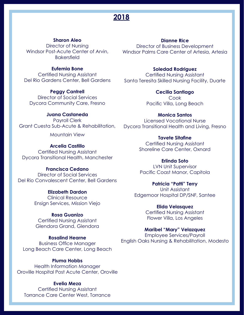# **Sharon Aleo**

Director of Nursing **Bakersfield** 

# **Eufemia Bone**

Certified Nursing Assistant Del Rio Gardens Center, Bell Gardens

> **Peggy Cantrell** Director of Social Services

Dycora Community Care, Fresno

#### **Juana Castaneda**

Payroll Clerk Grant Cuesta Sub-Acute & Rehabilitation,

Mountain View

# **Arcelia Castillo**

Certified Nursing Assistant Dycora Transitional Health, Manchester

# **Francisca Cedano**

Director of Social Services Del Rio Convalescent Center, Bell Gardens

#### **Elizabeth Dardon**

Clinical Resource Ensign Services, Mission Viejo

# **Rosa Guanizo**

Certified Nursing Assistant Glendora Grand, Glendora

## **Rosalind Hearne**

Business Office Manager Long Beach Care Center, Long Beach

# **Pluma Hobbs**

Health Information Manager Oroville Hospital Post Acute Center, Oroville

## **Evelia Meza**

Certified Nursing Assistant Torrance Care Center West, Torrance

# **Dianne Rice**

Director of Business Development Windsor Post-Acute Center of Arvin, Windsor Palms Care Center of Artesia, Artesia

#### **Soledad Rodriguez**

Certified Nursing Assistant Santa Teresita Skilled Nursing Facility, Duarte

> **Cecilia Santiago**  Cook Pacific Villa, Long Beach

**Monica Santos** Licensed Vocational Nurse Dycora Transitional Health and Living, Fresno

# **Tavete Sitafine** Certified Nursing Assistant Shoreline Care Center, Oxnard

**Erlinda Soto** LVN Unit Supervisor Pacific Coast Manor, Capitola

**Patricia "Patti" Terry** Unit Assistant Edgemoor Hospital DP/SNF, Santee

> **Elida Velasquez** Certified Nursing Assistant Flower Villa, Los Angeles

# **Maribel "Mary" Velazquez** Employee Services/Payroll English Oaks Nursing & Rehabilitation, Modesto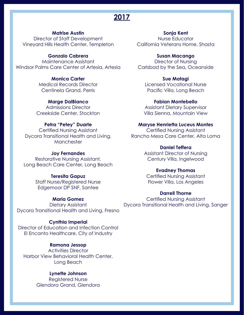# **Matrise Austin**

Director of Staff Development Vineyard Hills Health Center, Templeton

#### **Gonzalo Cabrera**

Maintenance Assistant Windsor Palms Care Center of Artesia, Artesia

# **Monica Carter**

Medical Records Director Centinela Grand, Perris

#### **Marge DalBianco**

Admissions Director Creekside Center, Stockton

# **Petra "Petey" Duarte**

Certified Nursing Assistant Dycora Transitional Health and Living, **Manchester** 

#### **Joy Fernandes**

Restorative Nursing Assistant, Long Beach Care Center, Long Beach

#### **Teresita Gapuz**

Staff Nurse/Registered Nurse Edgemoor DP SNF, Santee

## **Maria Gomez**

Dietary Assistant Dycora Transitional Health and Living, Fresno

#### **Cynthia Imperial**

Director of Education and Infection Control El Encanto Healthcare, City of Industry

# **Ramona Jessop**

Activities Director Harbor View Behavioral Health Center, Long Beach

#### **Lynette Johnson**

Registered Nurse Glendora Grand, Glendora

**Sonja Kent** Nurse Educator California Veterans Home, Shasta

**Susan Macango** Director of Nursing Carlsbad by the Sea, Oceanside

**Sue Matagi** Licensed Vocational Nurse Pacific Villa, Long Beach

**Fabian Montebello** Assistant Dietary Supervisor Villa Sienna, Mountain View

# **Maryse Henrietta Luceus Montes**

Certified Nursing Assistant Rancho Mesa Care Center, Alta Loma

# **Daniel Teffera**

Assistant Director of Nursing Century Villa, Ingelwood

# **Evadney Thomas**

Certified Nursing Assistant Flower Villa, Los Angeles

## **Darrell Thorne**

Certified Nursing Assistant Dycora Transitional Health and Living, Sanger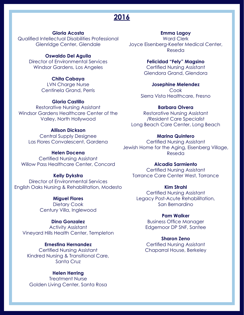# **Gloria Acosta**

Qualified Intellectual Disabilities Professional Glenridge Center, Glendale

# **Oswaldo Del Aguila**

Director of Environmental Services Windsor Gardens, Los Angeles

# **Chita Cabaya**

LVN Charge Nurse Centinela Grand, Perris

# **Gloria Castillo**

Restorative Nursing Assistant Windsor Gardens Healthcare Center of the Valley, North Hollywood

# **Allison Dickson**

Central Supply Designee Las Flores Convalescent, Gardena

#### **Helen Docena**

Certified Nursing Assistant Willow Pass Healthcare Center, Concord

# **Kelly Dykstra**

Director of Environmental Services English Oaks Nursing & Rehabilitation, Modesto

# **Miguel Flores**

Dietary Cook Century Villa, Inglewood

# **Dina Gonzalez**

Activity Assistant Vineyard Hills Health Center, Templeton

# **Ernestina Hernandez**

Certified Nursing Assistant Kindred Nursing & Transitional Care, Santa Cruz

# **Helen Herring**

Treatment Nurse Golden Living Center, Santa Rosa

#### **Emma Lagoy**

Ward Clerk Joyce Eisenberg-Keefer Medical Center, Reseda

> **Felicidad "Fely" Magsino** Certified Nursing Assistant Glendora Grand, Glendora

**Josephine Melendez** Cook Sierra Vista Healthcare, Fresno

#### **Barbara Olvera**

Restorative Nursing Assistant /Resident Care Specialist Long Beach Care Center, Long Beach

### **Marina Quintero**

Certified Nursing Assistant Jewish Home for the Aging, Eisenberg Village, Reseda

#### **Alcadia Sarmiento**

Certified Nursing Assistant Torrance Care Center West, Torrance

#### **Kim Strahl**

Certified Nursing Assistant Legacy Post-Acute Rehabilitation, San Bernardino

#### **Pam Walker**

Business Office Manager Edgemoor DP SNF, Santee

# **Sharon Zeno**

Certified Nursing Assistant Chaparral House, Berkeley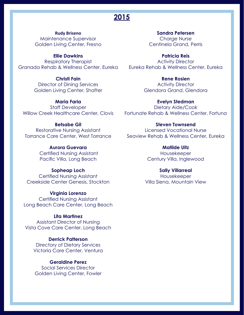**Rudy Briseno** Maintenance Supervisor Golden Living Center, Fresno

**Ellie Dawkins** Respiratory Therapist Granada Rehab & Wellness Center, Eureka Eureka Rehab & Wellness Center, Eureka

**Christi Fain** Director of Dining Services Golden Living Center, Shafter

**Maria Faria** Staff Developer Willow Creek Healthcare Center, Clovis

**Betsabe Gil** Restorative Nursing Assistant

> **Aurora Guevara** Certified Nursing Assistant Pacific Villa, Long Beach

**Sopheap Loch** Certified Nursing Assistant Creekside Center Genesis, Stockton

**Virginia Lorenzo** Certified Nursing Assistant Long Beach Care Center, Long Beach

**Lita Martinez** Assistant Director of Nursing Vista Cove Care Center, Long Beach

**Derrick Patterson** Directory of Dietary Services Victoria Care Center, Ventura

**Geraldine Perez** Social Services Director Golden Living Center, Fowler

**Sandra Petersen** Charge Nurse Centinela Grand, Perris

**Patricia Reis** Activity Director

> **Rene Rosien** Activity Director Glendora Grand, Glendora

**Evelyn Stedman** Dietary Aide/Cook Fortunate Rehab & Wellness Center, Fortuna

Torrance Care Center, West Torrance Seaview Rehab & Wellness Center, Eureka **Steven Townsend** Licensed Vocational Nurse

> **Matilde Uitz** Housekeeper Century Villa, Inglewood

**Sally Villarreal** Housekeeper Villa Siena, Mountain View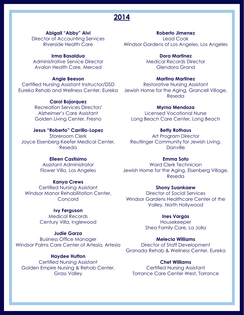# **Abigail "Abby" Alvi**

Director of Accounting Services Riverside Health Care

# **Irma Basaldua**

Administrative Service Director Avalon Health Care, Merced

# **Angie Beeson**

Certified Nursing Assistant Instructor/DSD

## **Carol Bojorquez**

Recreation Services Director/ Alzheimer's Care Assistant Golden Living Center, Fresno

# **Jesus "Roberto" Carrillo-Lopez**

Storeroom Clerk Joyce Eisenberg-Keefer Medical Center, Reseda

#### **Eileen Castisimo**

Assistant Administrator Flower Villa, Los Angeles

# **Kanya Crews**

Certified Nursing Assistant Windsor Manor Rehabilitation Center, **Concord** 

# **Ivy Ferguson**

Medical Records Century Villa, Inglewood

#### **Judie Garza**

Business Office Manager Windsor Palms Care Center of Artesia, Artesia

# **Haydee Hutton**

Certified Nursing Assistant Golden Empire Nursing & Rehab Center, Grass Valley

# **Roberto Jimenez** Lead Cook Windsor Gardens of Los Angeles, Los Angeles

**Dora Martinez** Medical Records Director Glendora Grand

# **Martina Martinez**

Eureka Rehab and Wellness Center, Eureka Jewish Home for the Aging, Grancell Village, Restorative Nursing Assistant Reseda

## **Myrna Mendoza**

Licensed Vocational Nurse Long Beach Care Center, Long Beach

### **Betty Rothaus**

Art Program Director Reutlinger Community for Jewish Living, Danville

#### **Emma Soto**

Ward Clerk Technician Jewish Home for the Aging, Eisenberg Village, Reseda

#### **Shony Suankaew**

Director of Social Services Windsor Gardens Healthcare Center of the Valley, North Hollywood

# **Ines Vargas**

Housekeeper Shea Family Care, La Jolla

# **Melecia Williams**

Director of Staff Development Granada Rehab & Wellness Center, Eureka

#### **Chet Williams**

Certified Nursing Assistant Torrance Care Center West, Torrance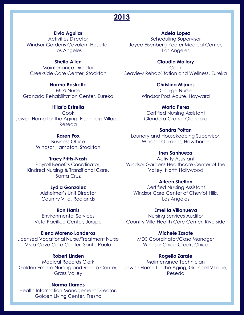# **Elvia Aguilar**

Activities Director Windsor Gardens Covalent Hospital, Los Angeles

# **Sheila Allen**

Maintenance Director Creekside Care Center, Stockton

**Norma Baskette** MDS Nurse Granada Rehabilitation Center, Eureka

**Hilario Estrella** Cook Jewish Home for the Aging, Eisenberg Village, Reseda

# **Karen Fox**

Business Office Windsor Hampton, Stockton

#### **Tracy Fritts-Nash**

Payroll Benefits Coordinator, Kindred Nursing & Transitional Care, Santa Cruz

### **Lydia Gonzalez**

Alzheimer's Unit Director Country Villa, Redlands

# **Ron Harris**

Environmental Services Vista Pacifica Center, Jurupa

## **Elena Moreno Landeros**

Licensed Vocational Nurse/Treatment Nurse MDS Coordinator/Case Manager Vista Cove Care Center, Santa Paula

# **Robert Linden**

Medical Records Clerk Grass Valley

# **Norma Llamas**

Health Information Management Director, Golden Living Center, Fresno

#### **Adela Lopez**

Scheduling Supervisor Joyce Eisenberg-Keefer Medical Center, Los Angeles

> **Claudia Mallory Cook**

Seaview Rehabilitation and Wellness, Eureka

**Christina Mijares** Charge Nurse Windsor Post Acute, Hayward

**Marta Perez** Certified Nursing Assistant Glendora Grand, Glendora

#### **Sandra Poitan**

Laundry and Housekeeping Supervisor, Windsor Gardens, Hawthorne

# **Ines Sanhueza**

Activity Assistant Windsor Gardens Healthcare Center of the Valley, North Hollywood

# **Arleen Shelton**

Certified Nursing Assistant Windsor Care Center of Cheviot Hills, Los Angeles

#### **Emelita Villanueva**

Nursing Services Auditor Country Villa Health Care Center, Riverside

## **Michele Zarate**

Windsor Chico Creek, Chico

#### **Rogelio Zarate**

Golden Empire Nursing and Rehab Center, Jewish Home for the Aging, Grancell Village, Maintenance Technician Reseda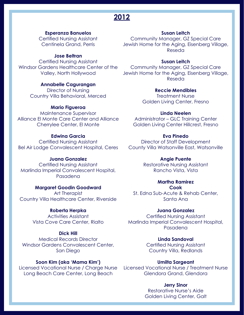# **Esperanza Banuelos**

Certified Nursing Assistant Centinela Grand, Perris

#### **Jose Beltran**

Certified Nursing Assistant Windsor Gardens Healthcare Center of the Valley, North Hollywood

#### **Annabelle Cagurangan**

Director of Nursing Country Villa Behavioral, Merced

#### **Mario Figueroa**

Maintenance Supervisor Alliance El Monte Care Center and Alliance Cherrylee Center, El Monte

# **Edwina Garcia**

Certified Nursing Assistant Bel Air Lodge Convalescent Hospital, Ceres County Villa Watsonville East, Watsonville

## **Juana Gonzalez**

Certified Nursing Assistant Marlinda Imperial Convalescent Hospital, Pasadena

#### **Margaret Goodin Goodward**

Art Therapist Country Villa Healthcare Center, Riverside

# **Roberta Herpka**

Activities Assistant Vista Cove Care Center, Rialto

#### **Dick Hill**

Medical Records Director Windsor Gardens Convalescent Center, San Diego

#### **Soon Kim (aka 'Mama Kim')**

Long Beach Care Center, Long Beach

# **Susan Leitch**

Community Manager, GZ Special Care Jewish Home for the Aging, Eisenberg Village, Reseda

# **Susan Leitch**

Community Manager, GZ Special Care Jewish Home for the Aging, Eisenberg Village, Reseda

# **Reccie Mendibles**

Treatment Nurse Golden Living Center, Fresno

#### **Linda Neelen**

Administrator – GLC Training Center Golden Living Center Hillcrest, Fresno

# **Eva Pinedo**

Director of Staff Development

#### **Angie Puente**

Restorative Nursing Assistant Rancho Vista, Vista

#### **Martha Ramirez**

**Cook** St. Edna Sub-Acute & Rehab Center, Santa Ana

#### **Juana Gonzalez**

Certified Nursing Assistant Marlinda Imperial Convalescent Hospital, Pasadena

#### **Linda Sandoval**

Certified Nursing Assistant Country Villa, Redlands

#### **Umilta Sargeant**

Licensed Vocational Nurse / Charge Nurse Licensed Vocational Nurse / Treatment Nurse Glendora Grand, Glendora

#### **Jerry Sinor**

Restorative Nurse's Aide Golden Living Center, Galt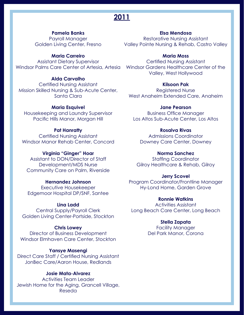# **Pamela Banks**

Payroll Manager Golden Living Center, Fresno

## **Maria Carreiro**

Assistant Dietary Supervisor Windsor Palms Care Center of Artesia, Artesia Windsor Gardens Healthcare Center of the

# **Alda Carvalho**

Certified Nursing Assistant Mission Skilled Nursing & Sub-Acute Center, Santa Clara

## **Maria Esquivel**

Housekeeping and Laundry Supervisor Pacific Hills Manor, Morgan Hill

# **Pat Hanratty**

Certified Nursing Assistant Windsor Manor Rehab Center, Concord

#### **Virginia "Ginger" Hoar**

Assistant to DON/Director of Staff Development/MDS Nurse Community Care on Palm, Riverside

# **Hernandez Johnson**

Executive Housekeeper Edgemoor Hospital DP/SNF, Santee

#### **Lina Ladd**

Central Supply/Payroll Clerk Golden Living Center-Portside, Stockton

# **Chris Lowey**

Director of Business Development Windsor Elmhaven Care Center, Stockton

# **Yansye Masengi**

Direct Care Staff / Certified Nursing Assistant JonBec Care/Aaron House, Redlands

## **Josie Mata-Alvarez**

Activities Team Leader Jewish Home for the Aging, Grancell Village, Reseda

# **Elsa Mendosa**

Restorative Nursing Assistant Valley Pointe Nursing & Rehab, Castro Valley

#### **Maria Moss**

Certified Nursing Assistant Valley, West Hollywood

#### **Kilsoon Pak**

Registered Nurse West Anaheim Extended Care, Anaheim

# **Jane Pearson**

Business Office Manager Los Altos Sub-Acute Center, Los Altos

# **Rosalva Rivas**

Admissions Coordinator Downey Care Center, Downey

# **Norma Sanchez**

Staffing Coordinator Gilroy Healthcare & Rehab, Gilroy

#### **Jerry Scovel**

Program Coordinator/Frontline Manager Hy-Lond Home, Garden Grove

# **Ronnie Watkins**

Activities Assistant Long Beach Care Center, Long Beach

# **Stella Zapata**

Facility Manager Del Park Manor, Corona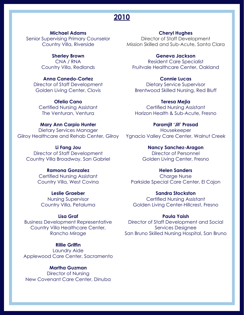**Michael Adams** Senior Supervising Primary Counselor Country Villa, Riverside

> **Sherley Brown** CNA / RNA Country Villa, Redlands

**Anna Canedo-Cortez** Director of Staff Development Golden Living Center, Clovis

**Ofelia Cano** Certified Nursing Assistant The Venturan, Ventura

**Mary Ann Carpio Hunter** Dietary Services Manager

**Li Fang Jou** Director of Staff Development Country Villa Broadway, San Gabriel

> **Ramona Gonzalez** Certified Nursing Assistant Country Villa, West Covina

**Leslie Graeber** Nursing Supervisor Country Villa, Petaluma

**Lisa Graf** Business Development Representative Country Villa Healthcare Center, Rancho Mirage

**Rillie Griffin** Laundry Aide Applewood Care Center, Sacramento

**Martha Guzman** Director of Nursing New Covenant Care Center, Dinuba **Cheryl Hughes**

Director of Staff Development Mission Skilled and Sub-Acute, Santa Clara

**Geneva Jackson** Resident Care Specialist Fruitvale Healthcare Center, Oakland

**Connie Lucas** Dietary Service Supervisor Brentwood Skilled Nursing, Red Bluff

**Teresa Mejia** Certified Nursing Assistant Horizon Health & Sub-Acute, Fresno

Gilroy Healthcare and Rehab Center, Gilroy Ygnacio Valley Care Center, Walnut Creek **Paramjit 'Jit' Prasad** Housekeeper

> **Nancy Sanchez-Aragon** Director of Personnel Golden Living Center, Fresno

**Helen Sanders Charge Nurse** Parkside Special Care Center, El Cajon

**Sandra Stockston** Certified Nursing Assistant Golden Living Center-Hillcrest, Fresno

**Paula Yaish** Director of Staff Development and Social Services Designee San Bruno Skilled Nursing Hospital, San Bruno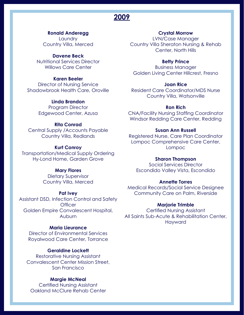## **Ronald Anderegg**

**Laundry** Country Villa, Merced

# **Davene Beck**

Nutritional Services Director Willows Care Center

## **Karen Beeler**

Director of Nursing Service Shadowbrook Health Care, Oroville

# **Linda Brandon**

Program Director Edgewood Center, Azusa

# **Rita Conrad**

Central Supply /Accounts Payable Country Villa, Redlands

#### **Kurt Conroy**

Transportation/Medical Supply Ordering Hy-Lond Home, Garden Grove

# **Mary Flores**

Dietary Supervisor Country Villa, Merced

#### **Pat Ivey**

Assistant DSD, Infection Control and Safety **Officer** Golden Empire Convalescent Hospital, **Auburn** 

# **Maria Lieurance**

Director of Environmental Services Royalwood Care Center, Torrance

#### **Geraldine Lockett**

Restorative Nursing Assistant Convalescent Center Mission Street, San Francisco

#### **Margie McNeal**

Certified Nursing Assistant Oakland McClure Rehab Center

# **Crystal Morrow**

LVN/Case Manager Country Villa Sheraton Nursing & Rehab Center, North Hills

#### **Betty Prince**

Business Manager Golden Living Center Hillcrest, Fresno

#### **Joan Rice**

Resident Care Coordinator/MDS Nurse Country Villa, Watsonville

#### **Ron Rich**

CNA/Facility Nursing Staffing Coordinator Windsor Redding Care Center, Redding

#### **Susan Ann Russell**

Registered Nurse, Care Plan Coordinator Lompoc Comprehensive Care Center, Lompoc

#### **Sharon Thompson**

Social Services Director Escondido Valley Vista, Escondido

#### **Annette Torres**

Medical Records/Social Service Designee Community Care on Palm, Riverside

#### **Marjorie Trimble**

Certified Nursing Assistant All Saints Sub-Acute & Rehabilitation Center, Hayward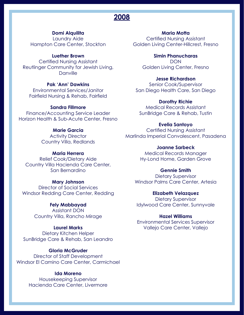# **Domi Alquilita**

Laundry Aide Hampton Care Center, Stockton

#### **Luether Brown**

Certified Nursing Assistant Reutlinger Community for Jewish Living, **Danville** 

# **Pak 'Ann' Dawkins**

Environmental Services/Janitor Fairfield Nursing & Rehab, Fairfield

# **Sandra Fillmore**

Finance/Accounting Service Leader Horizon Health & Sub-Acute Center, Fresno

# **Marie Garcia**

Activity Director Country Villa, Redlands

## **Maria Herrera**

Relief Cook/Dietary Aide Country Villa Hacienda Care Center, San Bernardino

# **Mary Johnson**

Director of Social Services Windsor Redding Care Center, Redding

#### **Fely Mabbayad**

Assistant DON Country Villa, Rancho Mirage

# **Laurel Marks**

Dietary Kitchen Helper SunBridge Care & Rehab, San Leandro

#### **Gloria McGruder**

Director of Staff Development Windsor El Camino Care Center, Carmichael

## **Ida Moreno**

Housekeeping Supervisor Hacienda Care Center, Livermore

**Maria Motta** Certified Nursing Assistant Golden Living Center-Hillcrest, Fresno

> **Simin Phanucharas DON** Golden Living Center, Fresno

# **Jesse Richardson**

Senior Cook/Supervisor San Diego Health Care, San Diego

#### **Dorothy Richie**

Medical Records Assistant SunBridge Care & Rehab, Tustin

#### **Evelia Santoyo**

Certified Nursing Assistant Marlinda Imperial Convalescent, Pasadena

## **Joanne Sarbeck** Medical Records Manager

Hy-Lond Home, Garden Grove

#### **Gennie Smith**

Dietary Supervisor Windsor Palms Care Center, Artesia

#### **Elizabeth Velazquez**

Dietary Supervisor Idylwood Care Center, Sunnyvale

#### **Hazel Williams**

Environmental Services Supervisor Vallejo Care Center, Vallejo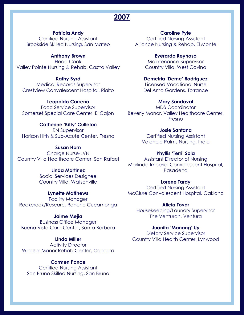# **Patricia Andy**

Certified Nursing Assistant Brookside Skilled Nursing, San Mateo

#### **Anthony Brown**

Head Cook Valley Pointe Nursing & Rehab, Castro Valley

## **Kathy Byrd**

Medical Records Supervisor Crestview Convalescent Hospital, Rialto

#### **Leopoldo Carreno**

Food Service Supervisor Somerset Special Care Center, El Cajon

# **Catherine 'Kitty' Culleton**

RN Supervisor Horizon Hlth & Sub-Acute Center, Fresno

## **Susan Horn**

Charge Nurse-LVN Country Villa Healthcare Center, San Rafael

## **Linda Martinez**

Social Services Designee Country Villa, Watsonville

#### **Lynette Matthews**

Facility Manager Rockcreek/Rescare, Rancho Cucamonga

# **Jaime Mejia**

Business Office Manager Buena Vista Care Center, Santa Barbara

# **Linda Miller**

**Activity Director** Windsor Manor Rehab Center, Concord

# **Carmen Ponce**

Certified Nursing Assistant San Bruno Skilled Nursing, San Bruno

**Caroline Pyle** Certified Nursing Assistant Alliance Nursing & Rehab, El Monte

> **Everardo Reynoso** Maintenance Supervisor Country Villa, West Covina

# **Demetria 'Deme' Rodriguez**

Licensed Vocational Nurse Del Amo Gardens, Torrance

#### **Mary Sandoval**

MDS Coordinator Beverly Manor, Valley Healthcare Center, Fresno

#### **Josie Santana**

Certified Nursing Assistant Valencia Palms Nursing, Indio

#### **Phyllis 'Terri' Sola**

Assistant Director of Nursing Marlinda Imperial Convalescent Hospital, Pasadena

# **Lorene Tardy**

Certified Nursing Assistant McClure Convalescent Hospital, Oakland

#### **Alicia Tovar**

Housekeeping/Laundry Supervisor The Venturan, Ventura

## **Juanita 'Manang' Uy**

Dietary Service Supervisor Country Villa Health Center, Lynwood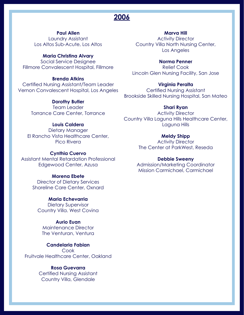# **Paul Allen**

Laundry Assistant Los Altos Sub-Acute, Los Altos

#### **Maria Christina Alvary**

Social Service Designee Fillmore Convalescent Hospital, Fillmore

#### **Brenda Atkins**

Certified Nursing Assistant/Team Leader Vernon Convalescent Hospital, Los Angeles

#### **Dorothy Butler**

Team Leader Torrance Care Center, Torrance

# **Louis Caldera**

Dietary Manager El Rancho Vista Healthcare Center, Pico Rivera

## **Cynthia Cuervo**

Assistant Mental Retardation Professional Edgewood Center, Azusa

#### **Morena Ebete**

Director of Dietary Services Shoreline Care Center, Oxnard

#### **Maria Echevarria**

Dietary Supervisor Country Villa. West Covina

# **Aurio Euan**

Maintenance Director The Venturan, Ventura

#### **Candelaria Fabian**

Cook Fruitvale Healthcare Center, Oakland

# **Rosa Guevarra**

Certified Nursing Assistant Country Villa, Glendale

## **Marva Hill**

Activity Director Country Villa North Nursing Center, Los Angeles

## **Norma Penner**

Relief Cook Lincoln Glen Nursing Facility, San Jose

#### **Virginia Peralta**

Certified Nursing Assistant Brookside Skilled Nursing Hospital, San Mateo

#### **Shari Ryan**

Activity Director Country Villa Laguna Hills Healthcare Center, Laguna Hills

#### **Meldy Shipp**

Activity Director The Center at ParkWest, Reseda

#### **Debbie Sweeny**

Admission/Marketing Coordinator Mission Carmichael, Carmichael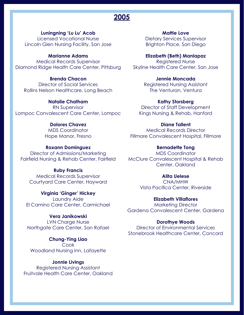**Luningning 'Lu Lu' Acob**

Licensed Vocational Nurse Lincoln Glen Nursing Facility, San Jose

# **Marianne Adams**

Medical Records Supervisor Diamond Ridge Health Care Center, Pittsburg

# **Brenda Chacon**

Director of Social Services Rollins Nelson Healthcare, Long Beach

# **Natalie Chatham**

RN Supervisor Lompoc Convalescent Care Center, Lompoc

# **Dolores Chavez**

MDS Coordinator Hope Manor, Fresno

#### **Roxann Dominguez**

Director of Admissions/Marketing Fairfield Nursing & Rehab Center, Fairfield McClure Convalescent Hospital & Rehab

# **Ruby Francis**

Medical Records Supervisor Courtyard Care Center, Hayward

#### **Virginia 'Ginger' Hickey**

Laundry Aide El Camino Care Center, Carmichael

# **Vera Janikowski**

LVN Charge Nurse Northgate Care Center, San Rafael

#### **Chung-Ying Liao Cook**

Woodland Nursing Inn, Lafayette

## **Jonnie Livings**

Registered Nursing Assistant Fruitvale Health Care Center, Oakland

**Mattie Love** Dietary Services Supervisor Brighton Place, San Diego

**Elizabeth (Beth) Manlapaz** Registered Nurse Skyline Health Care Center, San Jose

# **Jennie Moncada**

Registered Nursing Assistant The Venturan, Ventura

# **Kathy Storsberg**

Director of Staff Development Kings Nursing & Rehab, Hanford

#### **Diane Tallent**

Medical Records Director Fillmore Convalescent Hospital, Fillmore

# **Bernadette Tong**

MDS Coordinator Center, Oakland

# **Alita Uelese**

CNA/MHW Vista Pacifica Center, Riverside

#### **Elizabeth Villaflores**

Marketing Director Gardena Convalescent Center, Gardena

#### **Dorothye Woods**

Director of Environmental Services Stonebrook Healthcare Center, Concord